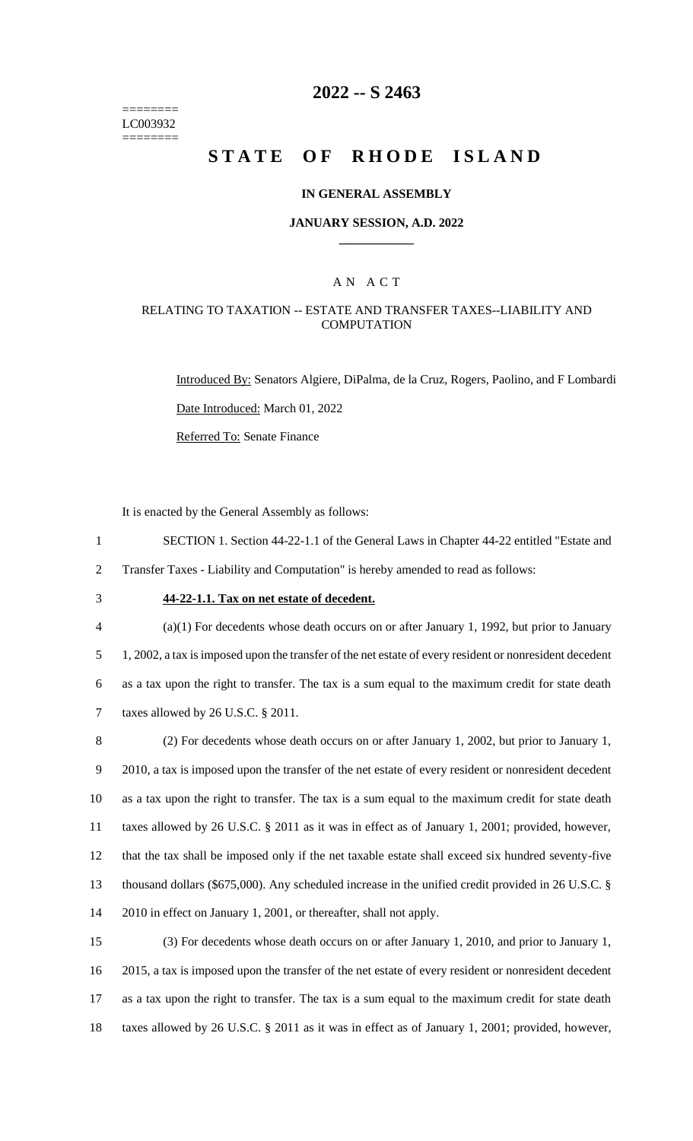======== LC003932 ========

# **2022 -- S 2463**

# **STATE OF RHODE ISLAND**

#### **IN GENERAL ASSEMBLY**

#### **JANUARY SESSION, A.D. 2022 \_\_\_\_\_\_\_\_\_\_\_\_**

### A N A C T

### RELATING TO TAXATION -- ESTATE AND TRANSFER TAXES--LIABILITY AND **COMPUTATION**

Introduced By: Senators Algiere, DiPalma, de la Cruz, Rogers, Paolino, and F Lombardi Date Introduced: March 01, 2022 Referred To: Senate Finance

It is enacted by the General Assembly as follows:

1 SECTION 1. Section 44-22-1.1 of the General Laws in Chapter 44-22 entitled "Estate and 2 Transfer Taxes - Liability and Computation" is hereby amended to read as follows:

# 3 **44-22-1.1. Tax on net estate of decedent.**

 (a)(1) For decedents whose death occurs on or after January 1, 1992, but prior to January 1, 2002, a tax is imposed upon the transfer of the net estate of every resident or nonresident decedent as a tax upon the right to transfer. The tax is a sum equal to the maximum credit for state death taxes allowed by 26 U.S.C. § 2011.

 (2) For decedents whose death occurs on or after January 1, 2002, but prior to January 1, 2010, a tax is imposed upon the transfer of the net estate of every resident or nonresident decedent as a tax upon the right to transfer. The tax is a sum equal to the maximum credit for state death taxes allowed by 26 U.S.C. § 2011 as it was in effect as of January 1, 2001; provided, however, that the tax shall be imposed only if the net taxable estate shall exceed six hundred seventy-five thousand dollars (\$675,000). Any scheduled increase in the unified credit provided in 26 U.S.C. § 2010 in effect on January 1, 2001, or thereafter, shall not apply.

 (3) For decedents whose death occurs on or after January 1, 2010, and prior to January 1, 2015, a tax is imposed upon the transfer of the net estate of every resident or nonresident decedent as a tax upon the right to transfer. The tax is a sum equal to the maximum credit for state death taxes allowed by 26 U.S.C. § 2011 as it was in effect as of January 1, 2001; provided, however,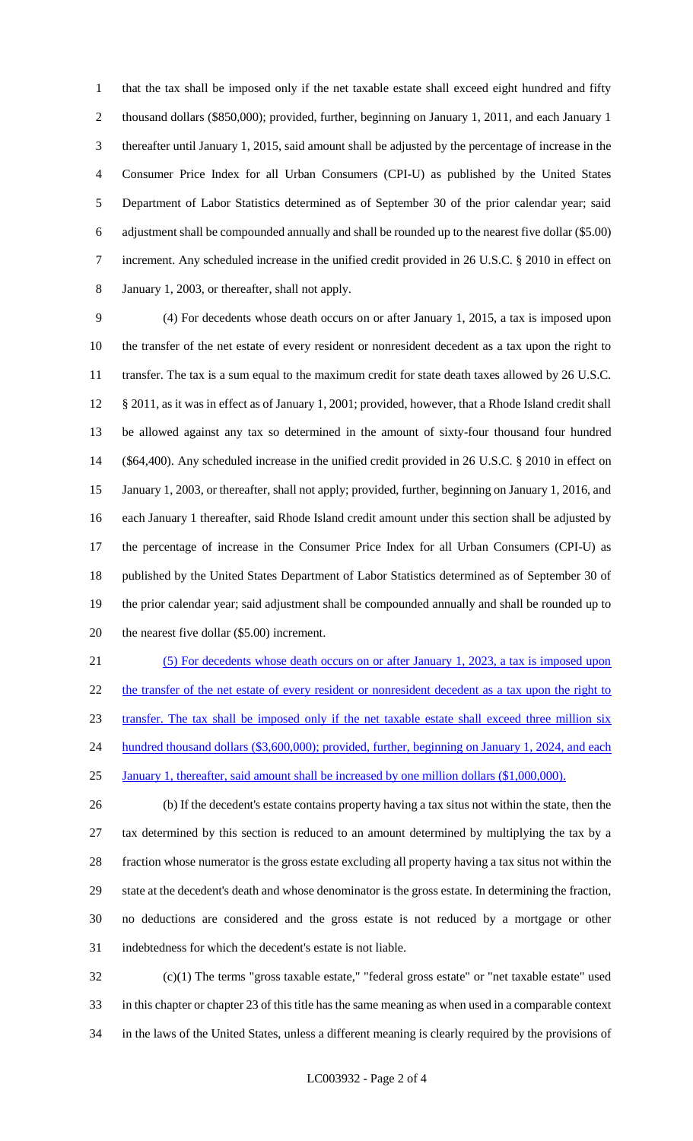that the tax shall be imposed only if the net taxable estate shall exceed eight hundred and fifty thousand dollars (\$850,000); provided, further, beginning on January 1, 2011, and each January 1 thereafter until January 1, 2015, said amount shall be adjusted by the percentage of increase in the Consumer Price Index for all Urban Consumers (CPI-U) as published by the United States Department of Labor Statistics determined as of September 30 of the prior calendar year; said adjustment shall be compounded annually and shall be rounded up to the nearest five dollar (\$5.00) increment. Any scheduled increase in the unified credit provided in 26 U.S.C. § 2010 in effect on January 1, 2003, or thereafter, shall not apply.

 (4) For decedents whose death occurs on or after January 1, 2015, a tax is imposed upon the transfer of the net estate of every resident or nonresident decedent as a tax upon the right to 11 transfer. The tax is a sum equal to the maximum credit for state death taxes allowed by 26 U.S.C. § 2011, as it was in effect as of January 1, 2001; provided, however, that a Rhode Island credit shall be allowed against any tax so determined in the amount of sixty-four thousand four hundred (\$64,400). Any scheduled increase in the unified credit provided in 26 U.S.C. § 2010 in effect on January 1, 2003, or thereafter, shall not apply; provided, further, beginning on January 1, 2016, and each January 1 thereafter, said Rhode Island credit amount under this section shall be adjusted by the percentage of increase in the Consumer Price Index for all Urban Consumers (CPI-U) as published by the United States Department of Labor Statistics determined as of September 30 of the prior calendar year; said adjustment shall be compounded annually and shall be rounded up to 20 the nearest five dollar (\$5.00) increment.

 (5) For decedents whose death occurs on or after January 1, 2023, a tax is imposed upon 22 the transfer of the net estate of every resident or nonresident decedent as a tax upon the right to transfer. The tax shall be imposed only if the net taxable estate shall exceed three million six 24 hundred thousand dollars (\$3,600,000); provided, further, beginning on January 1, 2024, and each January 1, thereafter, said amount shall be increased by one million dollars (\$1,000,000).

 (b) If the decedent's estate contains property having a tax situs not within the state, then the tax determined by this section is reduced to an amount determined by multiplying the tax by a fraction whose numerator is the gross estate excluding all property having a tax situs not within the state at the decedent's death and whose denominator is the gross estate. In determining the fraction, no deductions are considered and the gross estate is not reduced by a mortgage or other indebtedness for which the decedent's estate is not liable.

 (c)(1) The terms "gross taxable estate," "federal gross estate" or "net taxable estate" used in this chapter or chapter 23 of this title has the same meaning as when used in a comparable context in the laws of the United States, unless a different meaning is clearly required by the provisions of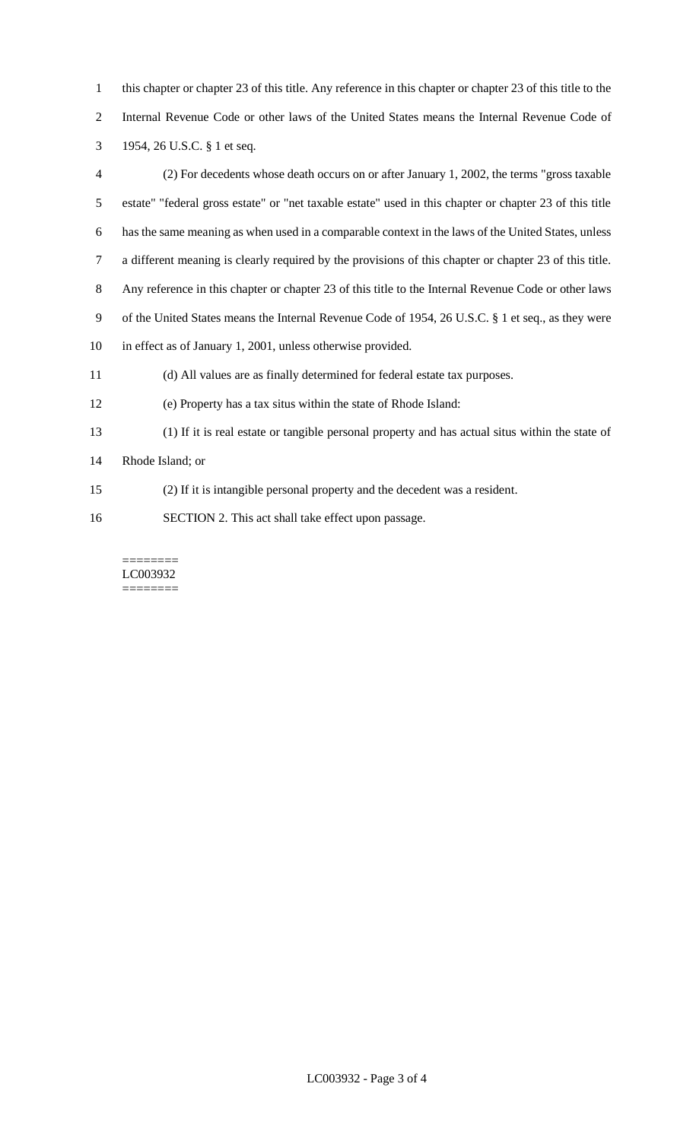- this chapter or chapter 23 of this title. Any reference in this chapter or chapter 23 of this title to the Internal Revenue Code or other laws of the United States means the Internal Revenue Code of
- 1954, 26 U.S.C. § 1 et seq.
- (2) For decedents whose death occurs on or after January 1, 2002, the terms "gross taxable estate" "federal gross estate" or "net taxable estate" used in this chapter or chapter 23 of this title has the same meaning as when used in a comparable context in the laws of the United States, unless a different meaning is clearly required by the provisions of this chapter or chapter 23 of this title. Any reference in this chapter or chapter 23 of this title to the Internal Revenue Code or other laws of the United States means the Internal Revenue Code of 1954, 26 U.S.C. § 1 et seq., as they were in effect as of January 1, 2001, unless otherwise provided. (d) All values are as finally determined for federal estate tax purposes. (e) Property has a tax situs within the state of Rhode Island: (1) If it is real estate or tangible personal property and has actual situs within the state of
- Rhode Island; or
- (2) If it is intangible personal property and the decedent was a resident.
- SECTION 2. This act shall take effect upon passage.

======== LC003932 ========